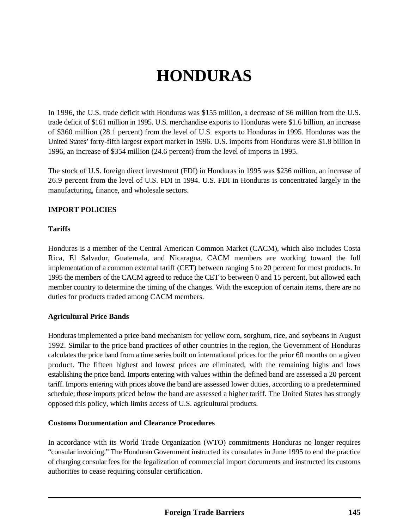# **HONDURAS**

In 1996, the U.S. trade deficit with Honduras was \$155 million, a decrease of \$6 million from the U.S. trade deficit of \$161 million in 1995. U.S. merchandise exports to Honduras were \$1.6 billion, an increase of \$360 million (28.1 percent) from the level of U.S. exports to Honduras in 1995. Honduras was the United States' forty-fifth largest export market in 1996. U.S. imports from Honduras were \$1.8 billion in 1996, an increase of \$354 million (24.6 percent) from the level of imports in 1995.

The stock of U.S. foreign direct investment (FDI) in Honduras in 1995 was \$236 million, an increase of 26.9 percent from the level of U.S. FDI in 1994. U.S. FDI in Honduras is concentrated largely in the manufacturing, finance, and wholesale sectors.

#### **IMPORT POLICIES**

#### **Tariffs**

Honduras is a member of the Central American Common Market (CACM), which also includes Costa Rica, El Salvador, Guatemala, and Nicaragua. CACM members are working toward the full implementation of a common external tariff (CET) between ranging 5 to 20 percent for most products. In 1995 the members of the CACM agreed to reduce the CET to between 0 and 15 percent, but allowed each member country to determine the timing of the changes. With the exception of certain items, there are no duties for products traded among CACM members.

## **Agricultural Price Bands**

Honduras implemented a price band mechanism for yellow corn, sorghum, rice, and soybeans in August 1992. Similar to the price band practices of other countries in the region, the Government of Honduras calculates the price band from a time series built on international prices for the prior 60 months on a given product. The fifteen highest and lowest prices are eliminated, with the remaining highs and lows establishing the price band. Imports entering with values within the defined band are assessed a 20 percent tariff. Imports entering with prices above the band are assessed lower duties, according to a predetermined schedule; those imports priced below the band are assessed a higher tariff. The United States has strongly opposed this policy, which limits access of U.S. agricultural products.

#### **Customs Documentation and Clearance Procedures**

In accordance with its World Trade Organization (WTO) commitments Honduras no longer requires "consular invoicing." The Honduran Government instructed its consulates in June 1995 to end the practice of charging consular fees for the legalization of commercial import documents and instructed its customs authorities to cease requiring consular certification.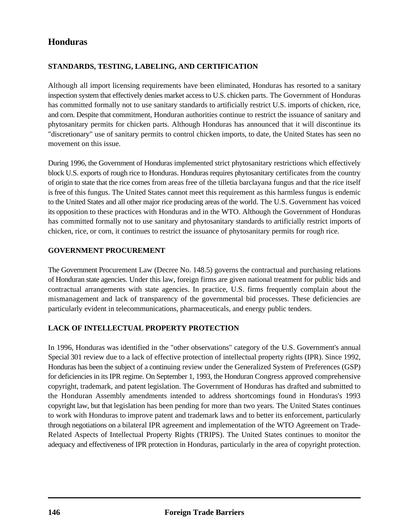# **Honduras**

# **STANDARDS, TESTING, LABELING, AND CERTIFICATION**

Although all import licensing requirements have been eliminated, Honduras has resorted to a sanitary inspection system that effectively denies market access to U.S. chicken parts. The Government of Honduras has committed formally not to use sanitary standards to artificially restrict U.S. imports of chicken, rice, and corn. Despite that commitment, Honduran authorities continue to restrict the issuance of sanitary and phytosanitary permits for chicken parts. Although Honduras has announced that it will discontinue its "discretionary" use of sanitary permits to control chicken imports, to date, the United States has seen no movement on this issue.

During 1996, the Government of Honduras implemented strict phytosanitary restrictions which effectively block U.S. exports of rough rice to Honduras. Honduras requires phytosanitary certificates from the country of origin to state that the rice comes from areas free of the tilletia barclayana fungus and that the rice itself is free of this fungus. The United States cannot meet this requirement as this harmless fungus is endemic to the United States and all other major rice producing areas of the world. The U.S. Government has voiced its opposition to these practices with Honduras and in the WTO. Although the Government of Honduras has committed formally not to use sanitary and phytosanitary standards to artificially restrict imports of chicken, rice, or corn, it continues to restrict the issuance of phytosanitary permits for rough rice.

#### **GOVERNMENT PROCUREMENT**

The Government Procurement Law (Decree No. 148.5) governs the contractual and purchasing relations of Honduran state agencies. Under this law, foreign firms are given national treatment for public bids and contractual arrangements with state agencies. In practice, U.S. firms frequently complain about the mismanagement and lack of transparency of the governmental bid processes. These deficiencies are particularly evident in telecommunications, pharmaceuticals, and energy public tenders.

## **LACK OF INTELLECTUAL PROPERTY PROTECTION**

In 1996, Honduras was identified in the "other observations" category of the U.S. Government's annual Special 301 review due to a lack of effective protection of intellectual property rights (IPR). Since 1992, Honduras has been the subject of a continuing review under the Generalized System of Preferences (GSP) for deficiencies in its IPR regime. On September 1, 1993, the Honduran Congress approved comprehensive copyright, trademark, and patent legislation. The Government of Honduras has drafted and submitted to the Honduran Assembly amendments intended to address shortcomings found in Honduras's 1993 copyright law, but that legislation has been pending for more than two years. The United States continues to work with Honduras to improve patent and trademark laws and to better its enforcement, particularly through negotiations on a bilateral IPR agreement and implementation of the WTO Agreement on Trade-Related Aspects of Intellectual Property Rights (TRIPS). The United States continues to monitor the adequacy and effectiveness of IPR protection in Honduras, particularly in the area of copyright protection.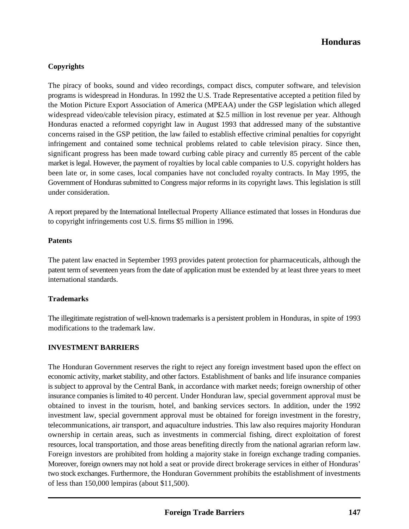# **Honduras**

## **Copyrights**

The piracy of books, sound and video recordings, compact discs, computer software, and television programs is widespread in Honduras. In 1992 the U.S. Trade Representative accepted a petition filed by the Motion Picture Export Association of America (MPEAA) under the GSP legislation which alleged widespread video/cable television piracy, estimated at \$2.5 million in lost revenue per year. Although Honduras enacted a reformed copyright law in August 1993 that addressed many of the substantive concerns raised in the GSP petition, the law failed to establish effective criminal penalties for copyright infringement and contained some technical problems related to cable television piracy. Since then, significant progress has been made toward curbing cable piracy and currently 85 percent of the cable market is legal. However, the payment of royalties by local cable companies to U.S. copyright holders has been late or, in some cases, local companies have not concluded royalty contracts. In May 1995, the Government of Honduras submitted to Congress major reforms in its copyright laws. This legislation is still under consideration.

A report prepared by the International Intellectual Property Alliance estimated that losses in Honduras due to copyright infringements cost U.S. firms \$5 million in 1996.

#### **Patents**

The patent law enacted in September 1993 provides patent protection for pharmaceuticals, although the patent term of seventeen years from the date of application must be extended by at least three years to meet international standards.

#### **Trademarks**

The illegitimate registration of well-known trademarks is a persistent problem in Honduras, in spite of 1993 modifications to the trademark law.

#### **INVESTMENT BARRIERS**

The Honduran Government reserves the right to reject any foreign investment based upon the effect on economic activity, market stability, and other factors. Establishment of banks and life insurance companies is subject to approval by the Central Bank, in accordance with market needs; foreign ownership of other insurance companies is limited to 40 percent. Under Honduran law, special government approval must be obtained to invest in the tourism, hotel, and banking services sectors. In addition, under the 1992 investment law, special government approval must be obtained for foreign investment in the forestry, telecommunications, air transport, and aquaculture industries. This law also requires majority Honduran ownership in certain areas, such as investments in commercial fishing, direct exploitation of forest resources, local transportation, and those areas benefiting directly from the national agrarian reform law. Foreign investors are prohibited from holding a majority stake in foreign exchange trading companies. Moreover, foreign owners may not hold a seat or provide direct brokerage services in either of Honduras' two stock exchanges. Furthermore, the Honduran Government prohibits the establishment of investments of less than 150,000 lempiras (about \$11,500).